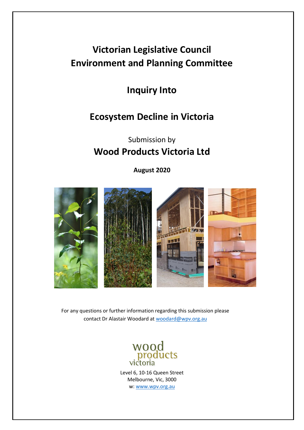# **Victorian Legislative Council Environment and Planning Committee**

**Inquiry Into** 

# **Ecosystem Decline in Victoria**

# Submission by **Wood Products Victoria Ltd**

**August 2020**



For any questions or further information regarding this submission please contact Dr Alastair Woodard at [woodard@wpv.org.au](mailto:woodard@wpv.org.au)



Level 6, 10-16 Queen Street Melbourne, Vic, 3000 w: [www.wpv.org.au](http://www.wpv.org.au/)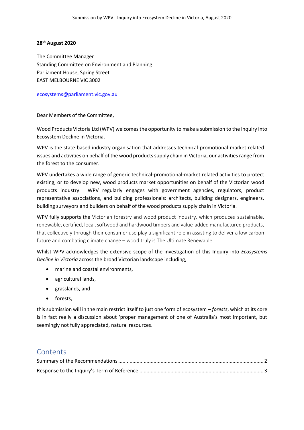#### **28th August 2020**

The Committee Manager Standing Committee on Environment and Planning Parliament House, Spring Street EAST MELBOURNE VIC 3002

#### [ecosystems@parliament.vic.gov.au](mailto:ecosystems@parliament.vic.gov.au)

Dear Members of the Committee,

Wood Products Victoria Ltd (WPV) welcomes the opportunity to make a submission to the Inquiry into Ecosystem Decline in Victoria.

WPV is the state-based industry organisation that addresses technical-promotional-market related issues and activities on behalf of the wood products supply chain in Victoria, our activities range from the forest to the consumer.

WPV undertakes a wide range of generic technical-promotional-market related activities to protect existing, or to develop new, wood products market opportunities on behalf of the Victorian wood products industry. WPV regularly engages with government agencies, regulators, product representative associations, and building professionals: architects, building designers, engineers, building surveyors and builders on behalf of the wood products supply chain in Victoria.

WPV fully supports the Victorian forestry and wood product industry, which produces sustainable, renewable, certified, local, softwood and hardwood timbers and value-added manufactured products, that collectively through their consumer use play a significant role in assisting to deliver a low carbon future and combating climate change – wood truly is The Ultimate Renewable.

Whilst WPV acknowledges the extensive scope of the investigation of this Inquiry into *Ecosystems Decline in Victoria* across the broad Victorian landscape including,

- marine and coastal environments,
- agricultural lands,
- grasslands, and
- forests,

this submission will in the main restrict itself to just one form of ecosystem *– forests*, which at its core is in fact really a discussion about 'proper management of one of Australia's most important, but seemingly not fully appreciated, natural resources.

# **Contents**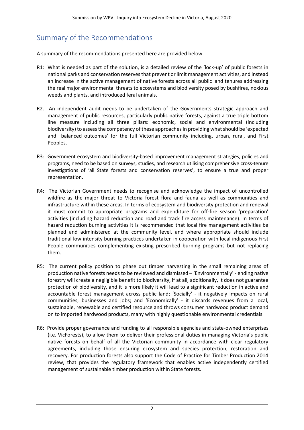# <span id="page-2-0"></span>Summary of the Recommendations

A summary of the recommendations presented here are provided below

- R1: What is needed as part of the solution, is a detailed review of the 'lock-up' of public forests in national parks and conservation reserves that prevent or limit management activities, and instead an increase in the active management of native forests across all public land tenures addressing the real major environmental threats to ecosystems and biodiversity posed by bushfires, noxious weeds and plants, and introduced feral animals.
- R2. An independent audit needs to be undertaken of the Governments strategic approach and management of public resources, particularly public native forests, against a true triple bottom line measure including all three pillars: economic, social and environmental (including biodiversity) to assess the competency of these approaches in providing what should be 'expected and balanced outcomes' for the full Victorian community including, urban, rural, and First Peoples.
- R3: Government ecosystem and biodiversity-based improvement management strategies, policies and programs, need to be based on surveys, studies, and research utilising comprehensive cross-tenure investigations of 'all State forests and conservation reserves', to ensure a true and proper representation.
- R4: The Victorian Government needs to recognise and acknowledge the impact of uncontrolled wildfire as the major threat to Victoria forest flora and fauna as well as communities and infrastructure within these areas. In terms of ecosystem and biodiversity protection and renewal it must commit to appropriate programs and expenditure for off-fire season 'preparation' activities (including hazard reduction and road and track fire access maintenance). In terms of hazard reduction burning activities it is recommended that local fire management activities be planned and administered at the community level, and where appropriate should include traditional low intensity burning practices undertaken in cooperation with local indigenous First People communities complementing existing prescribed burning programs but not replacing them.
- R5: The current policy position to phase out timber harvesting in the small remaining areas of production native forests needs to be reviewed and dismissed – 'Environmentally' - ending native forestry will create a negligible benefit to biodiversity, if at all, additionally, it does not guarantee protection of biodiversity, and it is more likely it will lead to a significant reduction in active and accountable forest management across public land; 'Socially' - it negatively impacts on rural communities, businesses and jobs; and 'Economically' - it discards revenues from a local, sustainable, renewable and certified resource and throws consumer hardwood product demand on to imported hardwood products, many with highly questionable environmental credentials.
- R6: Provide proper governance and funding to all responsible agencies and state-owned enterprises (i.e. VicForests), to allow them to deliver their professional duties in managing Victoria's public native forests on behalf of all the Victorian community in accordance with clear regulatory agreements, including those ensuring ecosystem and species protection, restoration and recovery. For production forests also support the Code of Practice for Timber Production 2014 review, that provides the regulatory framework that enables active independently certified management of sustainable timber production within State forests.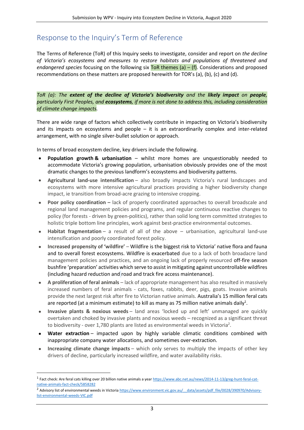# <span id="page-3-0"></span>Response to the Inquiry's Term of Reference

The Terms of Reference (ToR) of this Inquiry seeks to investigate, consider and report on *the decline of Victoria's ecosystems and measures to restore habitats and populations of threatened and endangered species* focusing on the following six ToR themes (a) – (f). Considerations and proposed recommendations on these matters are proposed herewith for TOR's (a), (b), (c) and (d).

*ToR (a): The extent of the decline of Victoria's biodiversity and the likely impact on people, particularly First Peoples, and ecosystems, if more is not done to address this, including consideration of climate change impacts.*

There are wide range of factors which collectively contribute in impacting on Victoria's biodiversity and its impacts on ecosystems and people – it is an extraordinarily complex and inter-related arrangement, with no single silver-bullet solution or approach.

In terms of broad ecosystem decline, key drivers include the following.

- **Population growth & urbanisation** whilst more homes are unquestionably needed to accommodate Victoria's growing population, urbanisation obviously provides one of the most dramatic changes to the previous landform's ecosystems and biodiversity patterns.
- **Agricultural land-use intensification** also broadly impacts Victoria's rural landscapes and ecosystems with more intensive agricultural practices providing a higher biodiversity change impact, ie transition from broad-acre grazing to intensive cropping.
- **Poor policy coordination –** lack of properly coordinated approaches to overall broadscale and regional land management policies and programs, and regular continuous reactive changes to policy (for forests - driven by green-politics), rather than solid long term committed strategies to holistic triple bottom line principles, work against best-practice environmental outcomes.
- **Habitat fragmentation** a result of all of the above urbanisation, agricultural land-use intensification and poorly coordinated forest policy.
- **Increased propensity of 'wildfire'** Wildfire is the biggest risk to Victoria' native flora and fauna and to overall forest ecosystems. Wildfire is exacerbated due to a lack of both broadacre land management policies and practices, and an ongoing lack of properly resourced off-fire season bushfire 'preparation' activities which serve to assist in mitigating against uncontrollable wildfires (including hazard reduction and road and track fire access maintenance).
- **A proliferation of feral animals** lack of appropriate management has also resulted in massively increased numbers of feral animals - cats, foxes, rabbits, deer, pigs, goats. Invasive animals provide the next largest risk after fire to Victorian native animals. Australia's 15 million feral cats are reported (at a minimum estimate) to kill as many as 75 million native animals daily<sup>1</sup>.
- **Invasive plants & noxious weeds** land areas 'locked up and left' unmanaged are quickly overtaken and choked by invasive plants and noxious weeds – recognized as a significant threat to biodiversity - over 1,780 plants are listed as environmental weeds in Victoria<sup>2</sup>.
- **Water extraction** impacted upon by highly variable climatic conditions combined with inappropriate company water allocations, and sometimes over-extraction.
- **Increasing climate change impacts** which only serves to multiply the impacts of other key drivers of decline, particularly increased wildfire, and water availability risks.

<sup>&</sup>lt;sup>1</sup> Fact check: Are feral cats killing over 20 billion native animals a year [https://www.abc.net.au/news/2014-11-13/greg-hunt-feral-cat](https://www.abc.net.au/news/2014-11-13/greg-hunt-feral-cat-native-animals-fact-check/5858282)[native-animals-fact-check/5858282](https://www.abc.net.au/news/2014-11-13/greg-hunt-feral-cat-native-animals-fact-check/5858282)

<sup>&</sup>lt;sup>2</sup> Advisory list of environmental weeds in Victoria https://www.environment.vic.gov.au/ data/assets/pdf file/0028/390970/Advisory[list-environmental-weeds-VIC.pdf](https://www.environment.vic.gov.au/__data/assets/pdf_file/0028/390970/Advisory-list-environmental-weeds-VIC.pdf)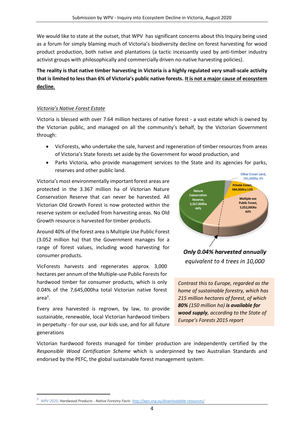We would like to state at the outset, that WPV has significant concerns about this Inquiry being used as a forum for simply blaming much of Victoria's biodiversity decline on forest harvesting for wood product production, both native and plantations (a tactic incessantly used by anti-timber industry activist groups with philosophically and commercially driven no-native harvesting policies).

**The reality is that native timber harvesting in Victoria is a highly regulated very small-scale activity that is limited to less than 6% of Victoria's public native forests. It is not a major cause of ecosystem decline**.

## *Victoria's Native Forest Estate*

Victoria is blessed with over 7.64 million hectares of native forest - a vast estate which is owned by the Victorian public, and managed on all the community's behalf, by the Victorian Government through:

- VicForests, who undertake the sale, harvest and regeneration of timber resources from areas of Victoria's State forests set aside by the Government for wood production, and
- Parks Victoria, who provide management services to the State and its agencies for parks, reserves and other public land.

Victoria's most environmentally important forest areas are protected in the 3.367 million ha of Victorian Nature Conservation Reserve that can never be harvested. All Victorian Old Growth Forest is now protected within the reserve system or excluded from harvesting areas. No Old Growth resource is harvested for timber products.

Around 40% of the forest area is Multiple Use Public Forest (3.052 million ha) that the Government manages for a range of forest values, including wood harvesting for consumer products.

VicForests harvests and regenerates approx. 3,000 hectares per annum of the Multiple-use Public Forests for hardwood timber for consumer products, which is only 0.04% of the 7,645,000ha total Victorian native forest area<sup>3</sup> .

Every area harvested is regrown, by law, to provide sustainable, renewable, local Victorian hardwood timbers in perpetuity - for our use, our kids use, and for all future generations



equivalent to 4 trees in 10,000

*Contrast this to Europe, regarded as the home of sustainable forestry, which has 215 million hectares of forest, of which 80% (150 million ha) is available for wood supply, according to the State of Europe's Forests 2015 report*

Victorian hardwood forests managed for timber production are independently certified by the *Responsible Wood Certification Scheme* which is underpinned by two Australian Standards and endorsed by the PEFC, the global sustainable forest management system.

*<sup>3</sup> WPV 2020, Hardwood Products - Native Forestry Facts <http://wpv.org.au/downloadable-resources/>*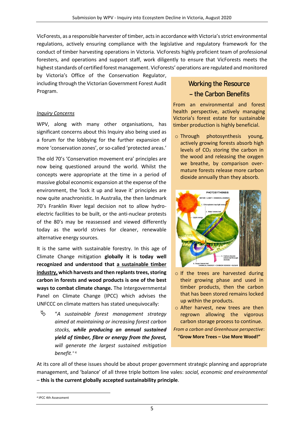VicForests, as a responsible harvester of timber, acts in accordance with Victoria's strict environmental regulations, actively ensuring compliance with the legislative and regulatory framework for the conduct of timber harvesting operations in Victoria. VicForests highly proficient team of professional foresters, and operations and support staff, work diligently to ensure that VicForests meets the highest standards of certified forest management. VicForests' operations are regulated and monitored

by Victoria's Office of the Conservation Regulator, including through the Victorian Government Forest Audit Program.

### *Inquiry Concerns*

WPV, along with many other organisations, has significant concerns about this Inquiry also being used as a forum for the lobbying for the further expansion of more 'conservation zones', or so-called 'protected areas.'

The old 70's 'Conservation movement era' principles are now being questioned around the world. Whilst the concepts were appropriate at the time in a period of massive global economic expansion at the expense of the environment, the 'lock it up and leave it' principles are now quite anachronistic. In Australia, the then landmark 70's Franklin River legal decision not to allow hydroelectric facilities to be built, or the anti-nuclear protests of the 80's may be reassessed and viewed differently today as the world strives for cleaner, renewable alternative energy sources.

It is the same with sustainable forestry. In this age of Climate Change mitigation **globally it is today well recognized and understood that a sustainable timber industry, which harvests and then replants trees, storing carbon in forests and wood products is one of the best ways to combat climate change.** The Intergovernmental Panel on Climate Change (IPCC) which advises the UNFCCC on climate matters has stated unequivocally:

 "*A sustainable forest management strategy aimed at maintaining or increasing forest carbon stocks, while producing an annual sustained yield of timber, fibre or energy from the forest, will generate the largest sustained mitigation benefit."* <sup>4</sup>

# Working the Resource – the Carbon Benefits

From an environmental and forest health perspective, actively managing Victoria's forest estate for sustainable timber production is highly beneficial.

o Through photosynthesis young, actively growing forests absorb high levels of  $CO<sub>2</sub>$  storing the carbon in the wood and releasing the oxygen we breathe, by comparison overmature forests release more carbon dioxide annually than they absorb.



- o If the trees are harvested during their growing phase and used in timber products, then the carbon that has been stored remains locked up within the products.
- o After harvest, new trees are then regrown allowing the vigorous carbon storage process to continue.
- *From a carbon and Greenhouse perspective*: **"Grow More Trees – Use More Wood!"**

At its core all of these issues should be about proper government strategic planning and appropriate management, and 'balance' of all three triple bottom line vales: *social, economic and environmental* – **this is the current globally accepted sustainability principle**.

<sup>4</sup> IPCC 4th Assessment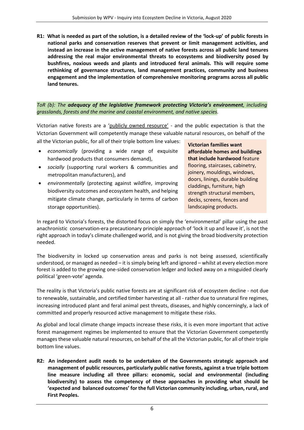**R1: What is needed as part of the solution, is a detailed review of the 'lock-up' of public forests in national parks and conservation reserves that prevent or limit management activities, and instead an increase in the active management of native forests across all public land tenures addressing the real major environmental threats to ecosystems and biodiversity posed by bushfires, noxious weeds and plants and introduced feral animals. This will require some rethinking of governance structures, land management practices, community and business engagement and the implementation of comprehensive monitoring programs across all public land tenures.**

## *ToR (b): The adequacy of the legislative framework protecting Victoria's environment, including grasslands, forests and the marine and coastal environment, and native species.*

Victorian native forests are a 'publicly owned resource' - and the public expectation is that the Victorian Government will competently manage these valuable natural resources, on behalf of the all the Victorian public, for all of their triple bottom line values:

- *economically* (providing a wide range of exquisite hardwood products that consumers demand),
- *socially* (supporting rural workers & communities and metropolitan manufacturers), and
- *environmentally* (protecting against wildfire, improving biodiversity outcomes and ecosystem health, and helping mitigate climate change, particularly in terms of carbon storage opportunities).

**Victorian families want affordable homes and buildings that include hardwood** feature flooring, staircases, cabinetry, joinery, mouldings, windows, doors, linings, durable building claddings, furniture, high strength structural members, decks, screens, fences and landscaping products.

In regard to Victoria's forests, the distorted focus on simply the 'environmental' pillar using the past anachronistic conservation-era precautionary principle approach of 'lock it up and leave it', is not the right approach in today's climate challenged world, and is not giving the broad biodiversity protection needed.

The biodiversity in locked up conservation areas and parks is not being assessed, scientifically understood, or managed as needed – it is simply being left and ignored – whilst at every election more forest is added to the growing one-sided conservation ledger and locked away on a misguided clearly political 'green-vote' agenda.

The reality is that Victoria's public native forests are at significant risk of ecosystem decline - not due to renewable, sustainable, and certified timber harvesting at all - rather due to unnatural fire regimes, increasing introduced plant and feral animal pest threats, diseases, and highly concerningly, a lack of committed and properly resourced active management to mitigate these risks.

As global and local climate change impacts increase these risks, it is even more important that active forest management regimes be implemented to ensure that the Victorian Government competently manages these valuable natural resources, on behalf of the all the Victorian public, for all of their triple bottom line values.

**R2: An independent audit needs to be undertaken of the Governments strategic approach and management of public resources, particularly public native forests, against a true triple bottom line measure including all three pillars: economic, social and environmental (including biodiversity) to assess the competency of these approaches in providing what should be 'expected and balanced outcomes' for the full Victorian community including, urban, rural, and First Peoples.**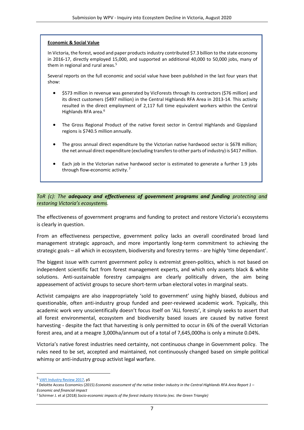#### **Economic & Social Value**

In Victoria, the forest, wood and paper products industry contributed \$7.3 billion to the state economy in 2016-17, directly employed 15,000, and supported an additional 40,000 to 50,000 jobs, many of them in regional and rural areas.<sup>5</sup>

Several reports on the full economic and social value have been published in the last four years that show:

- \$573 million in revenue was generated by VicForests through its contractors (\$76 million) and its direct customers (\$497 million) in the Central Highlands RFA Area in 2013-14. This activity resulted in the direct employment of 2,117 full time equivalent workers within the Central Highlands RFA area.<sup>6</sup>
- The Gross Regional Product of the native forest sector in Central Highlands and Gippsland regions is \$740.5 million annually.
- The gross annual direct expenditure by the Victorian native hardwood sector is \$678 million; the net annual direct expenditure (excluding transfers to other parts of industry) is \$417 million.
- Each job in the Victorian native hardwood sector is estimated to generate a further 1.9 jobs through flow-economic activity. <sup>7</sup>

### *ToR (c): The adequacy and effectiveness of government programs and funding protecting and restoring Victoria's ecosystems.*

The effectiveness of government programs and funding to protect and restore Victoria's ecosystems is clearly in question.

From an effectiveness perspective, government policy lacks an overall coordinated broad land management strategic approach, and more importantly long-term commitment to achieving the strategic goals – all which in ecosystem, biodiversity and forestry terms - are highly 'time dependant'.

The biggest issue with current government policy is extremist green-politics, which is not based on independent scientific fact from forest management experts, and which only asserts black & white solutions. Anti-sustainable forestry campaigns are clearly politically driven, the aim being appeasement of activist groups to secure short-term urban electoral votes in marginal seats.

Activist campaigns are also inappropriately 'sold to government' using highly biased, dubious and questionable, often anti-industry group funded and peer-reviewed academic work. Typically, this academic work very unscientifically doesn't focus itself on 'ALL forests', it simply seeks to assert that all forest environmental, ecosystem and biodiversity based issues are caused by native forest harvesting - despite the fact that harvesting is only permitted to occur in 6% of the overall Victorian forest area, and at a meagre 3,000ha/annum out of a total of 7,645,000ha is only a minute 0.04%.

Victoria's native forest industries need certainty, not continuous change in Government policy. The rules need to be set, accepted and maintained, not continuously changed based on simple political whimsy or anti-industry group activist legal warfare.

<sup>5</sup> [VAFI Industry Review 2017,](http://www.vafi.org.au/wp-content/uploads/2017/11/171023-VAFI035-Industry-Review-2017-v8.pdf) p5

<sup>6</sup> Deloitte Access Economics (2015) *Economic assessment of the native timber industry in the Central Highlands RFA Area Report 1 – Economic and financial impact*

<sup>7</sup> Schirmer J. et al (2018) *Socio-economic impacts of the forest industry Victoria (exc. the Green Triangle)*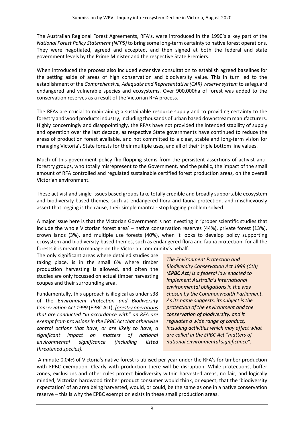The Australian Regional Forest Agreements, RFA's, were introduced in the 1990's a key part of the *National Forest Policy Statement (NFPS)* to bring some long-term certainty to native forest operations. They were negotiated, agreed and accepted, and then signed at both the federal and state government levels by the Prime Minister and the respective State Premiers.

When introduced the process also included extensive consultation to establish agreed baselines for the setting aside of areas of high conservation and biodiversity value. This in turn led to the establishment of the *Comprehensive, Adequate and Representative (CAR) reserve system* to safeguard endangered and vulnerable species and ecosystems. Over 900,000ha of forest was added to the conservation reserves as a result of the Victorian RFA process.

The RFAs are crucial to maintaining a sustainable resource supply and to providing certainty to the forestry and wood products industry, including thousands of urban based downstream manufacturers. Highly concerningly and disappointingly, the RFAs have not provided the intended stability of supply and operation over the last decade, as respective State governments have continued to reduce the areas of production forest available, and not committed to a clear, stable and long-term vision for managing Victoria's State forests for their multiple uses, and all of their triple bottom line values.

Much of this government policy flip-flopping stems from the persistent assertions of activist antiforestry groups, who totally misrepresent to the Government, and the public, the impact of the small amount of RFA controlled and regulated sustainable certified forest production areas, on the overall Victorian environment.

These activist and single-issues based groups take totally credible and broadly supportable ecosystem and biodiversity-based themes, such as endangered flora and fauna protection, and mischievously assert that logging is the cause, their simple mantra - stop logging problem solved.

A major issue here is that the Victorian Government is not investing in 'proper scientific studies that include the whole Victorian forest area' – native conservation reserves (44%), private forest (13%), crown lands (3%), and multiple use forests (40%), when it looks to develop policy supporting ecosystem and biodiversity-based themes, such as endangered flora and fauna protection, for all the forests it is meant to manage on the Victorian community's behalf.

The only significant areas where detailed studies are taking place, is in the small 6% where timber production harvesting is allowed, and often the studies are only focussed on actual timber harvesting coupes and their surrounding area.

Fundamentally, this approach is illogical as under s38 of the *Environment Protection and Biodiversity Conservation Act 1999* (EPBC Act), *forestry operations that are conducted "in accordance with" an RFA are exempt from provisions in the EPBC Act that otherwise control actions that have, or are likely to have, a significant impact on matters of national environmental significance (including listed threatened species).*

*The Environment Protection and Biodiversity Conservation Act 1999 (Cth) (EPBC Act) is a federal law enacted to implement Australia's international environmental obligations in the way chosen by the Commonwealth Parliament. As its name suggests, its subject is the protection of the environment and the conservation of biodiversity, and it regulates a wide range of conduct, including activities which may affect what are called in the EPBC Act "matters of national environmental significance".*

A minute 0.04% of Victoria's native forest is utilised per year under the RFA's for timber production with EPBC exemption. Clearly with production there will be disruption. While protections, buffer zones, exclusions and other rules protect biodiversity within harvested areas, no fair, and logically minded, Victorian hardwood timber product consumer would think, or expect, that the 'biodiversity expectation' of an area being harvested, would, or could, be the same as one in a native conservation reserve – this is why the EPBC exemption exists in these small production areas.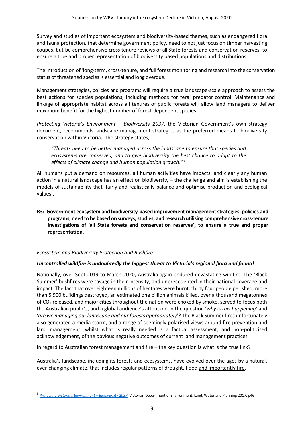Survey and studies of important ecosystem and biodiversity-based themes, such as endangered flora and fauna protection, that determine government policy, need to not just focus on timber harvesting coupes, but be comprehensive cross-tenure reviews of all State forests and conservation reserves, to ensure a true and proper representation of biodiversity based populations and distributions.

The introduction of 'long-term, cross-tenure, and full forest monitoring and research into the conservation status of threatened species is essential and long overdue.

Management strategies, policies and programs will require a true landscape-scale approach to assess the best actions for species populations, including methods for feral predator control. Maintenance and linkage of appropriate habitat across all tenures of public forests will allow land managers to deliver maximum benefit for the highest number of forest-dependent species.

*Protecting Victoria's Environment – Biodiversity 2037*, the Victorian Government's own strategy document, recommends landscape management strategies as the preferred means to biodiversity conservation within Victoria. The strategy states,

"*Threats need to be better managed across the landscape to ensure that species and ecosystems are conserved, and to give biodiversity the best chance to adapt to the effects of climate change and human population growth*."<sup>8</sup>

All humans put a demand on resources, all human activities have impacts, and clearly any human action in a natural landscape has an effect on biodiversity – the challenge and aim is establishing the models of sustainability that 'fairly and realistically balance and optimise production and ecological values'.

**R3: Government ecosystem and biodiversity-based improvement management strategies, policies and programs, need to be based on surveys, studies, and research utilising comprehensive cross-tenure investigations of 'all State forests and conservation reserves', to ensure a true and proper representation.**

## *Ecosystem and Biodiversity Protection and Bushfire*

## *Uncontrolled wildfire is undoubtedly the biggest threat to Victoria's regional flora and fauna!*

Nationally, over Sept 2019 to March 2020, Australia again endured devastating wildfire. The 'Black Summer' bushfires were savage in their intensity, and unprecedented in their national coverage and impact. The fact that over eighteen millions of hectares were burnt, thirty four people perished, more than 5,900 buildings destroyed, an estimated one billion animals killed, over a thousand megatonnes of CO<sup>2</sup> released, and major cities throughout the nation were choked by smoke, served to focus both the Australian public's, and a global audience's attention on the question '*why is this happening'* and '*are we managing our landscape and our forests appropriately*'? The Black Summer fires unfortunately also generated a media storm, and a range of seemingly polarised views around fire prevention and land management; whilst what is really needed is a factual assessment, and non-politicised acknowledgement, of the obvious negative outcomes of current land management practices

In regard to Australian forest management and fire – the key question is what is the true link?

Australia's landscape, including its forests and ecosystems, have evolved over the ages by a natural, ever-changing climate, that includes regular patterns of drought, flood and importantly fire.

<sup>8</sup> *[Protecting Victoria's Environment –](https://www.environment.vic.gov.au/__data/assets/pdf_file/0022/51259/Protecting-Victorias-Environment-Biodiversity-2037.pdf) Biodiversity 2037,* Victorian Department of Environment, Land, Water and Planning 2017, p46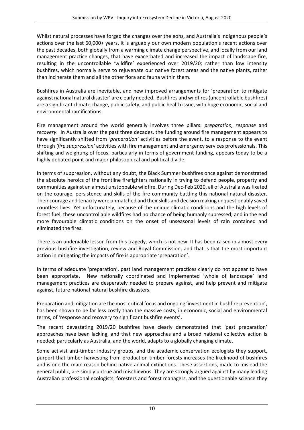Whilst natural processes have forged the changes over the eons, and Australia's Indigenous people's actions over the last 60,000+ years, it is arguably our own modern population's recent actions over the past decades, both globally from a warming climate change perspective, and locally from our land management practice changes, that have exacerbated and increased the impact of landscape fire, resulting in the uncontrollable 'wildfire' experienced over 2019/20; rather than low intensity bushfires, which normally serve to rejuvenate our native forest areas and the native plants, rather than incinerate them and all the other flora and fauna within them.

Bushfires in Australia are inevitable, and new improved arrangements for 'preparation to mitigate against national natural disaster' are clearly needed. Bushfires and wildfires (uncontrollable bushfires) are a significant climate change, public safety, and public health issue, with huge economic, social and environmental ramifications.

Fire management around the world generally involves three pillars: *preparation, response* and *recovery*. In Australia over the past three decades, the funding around fire management appears to have significantly shifted from *'preparation'* activities before the event, to a response to the event through *'fire suppression'* activities with fire management and emergency services professionals. This shifting and weighting of focus, particularly in terms of government funding, appears today to be a highly debated point and major philosophical and political divide.

In terms of suppression, without any doubt, the Black Summer bushfires once against demonstrated the absolute heroics of the frontline firefighters nationally in trying to defend people, property and communities against an almost unstoppable wildfire. During Dec-Feb 2020, all of Australia was fixated on the courage, persistence and skills of the fire community battling this national natural disaster. Their courage and tenacity were unmatched and their skills and decision making unquestionably saved countless lives. Yet unfortunately, because of the unique climatic conditions and the high levels of forest fuel, these uncontrollable wildfires had no chance of being humanly supressed; and in the end more favourable climatic conditions on the onset of unseasonal levels of rain contained and eliminated the fires.

There is an undeniable lesson from this tragedy, which is not new. It has been raised in almost every previous bushfire investigation, review and Royal Commission, and that is that the most important action in mitigating the impacts of fire is appropriate 'preparation'.

In terms of adequate 'preparation', past land management practices clearly do not appear to have been appropriate. New nationally coordinated and implemented 'whole of landscape' land management practices are desperately needed to prepare against, and help prevent and mitigate against, future national natural bushfire disasters.

Preparation and mitigation are the most critical focus and ongoing 'investment in bushfire prevention', has been shown to be far less costly than the massive costs, in economic, social and environmental terms, of 'response and recovery to significant bushfire events'**.** 

The recent devastating 2019/20 bushfires have clearly demonstrated that 'past preparation' approaches have been lacking, and that new approaches and a broad national collective action is needed; particularly as Australia, and the world, adapts to a globally changing climate.

Some activist anti-timber industry groups, and the academic conservation ecologists they support, purport that timber harvesting from production timber forests increases the likelihood of bushfires and is one the main reason behind native animal extinctions. These assertions, made to mislead the general public, are simply untrue and mischievous. They are strongly argued against by many leading Australian professional ecologists, foresters and forest managers, and the questionable science they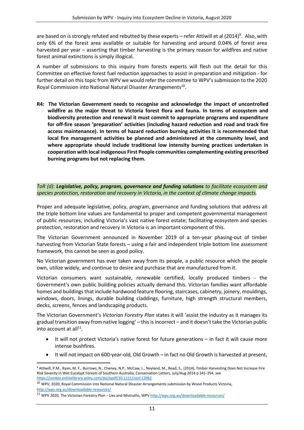are based on is strongly refuted and rebutted by these experts - refer Attiwill et al (2014)<sup>9</sup>. Also, with only 6% of the forest area available or suitable for harvesting and around 0.04% of forest area harvested per year – asserting that timber harvesting is the primary reason for wildfires and native forest animal extinctions is simply illogical.

A number of submissions to this inquiry from forests experts will flesh out the detail for this Committee on effective forest fuel reduction approaches to assist in preparation and mitigation - for further detail on this topic from WPV we would refer the committee to WPV's submission to the 2020 Royal Commission into National Natural Disaster Arrangements<sup>10</sup>.

**R4: The Victorian Government needs to recognise and acknowledge the impact of uncontrolled wildfire as the major threat to Victoria forest flora and fauna. In terms of ecosystem and biodiversity protection and renewal it must commit to appropriate programs and expenditure for off-fire season 'preparation' activities (including hazard reduction and road and track fire access maintenance). In terms of hazard reduction burning activities it is recommended that local fire management activities be planned and administered at the community level, and where appropriate should include traditional low intensity burning practices undertaken in cooperation with local indigenous First People communities complementing existing prescribed burning programs but not replacing them.**

*ToR (d): Legislative, policy, program, governance and funding solutions to facilitate ecosystem and species protection, restoration and recovery in Victoria, in the context of climate change impacts.*

Proper and adequate legislative, policy, program, governance and funding solutions that address all the triple bottom line values are fundamental to proper and competent governmental management of public resources, including Victoria's vast native forest estate; facilitating ecosystem and species protection, restoration and recovery in Victoria is an important component of this.

The Victorian Government announced in November 2019 of a ten-year phasing-out of timber harvesting from Victorian State forests – using a fair and independent triple bottom line assessment framework, this cannot be seen as good policy.

No Victorian government has ever taken away from its people, a public resource which the people own, utilize widely, and continue to desire and purchase that are manufactured from it.

Victorian consumers want sustainable, renewable certified, locally produced timbers - the Government's own public building policies actually demand this. Victorian families want affordable homes and buildings that include hardwood feature flooring, staircases, cabinetry, joinery, mouldings, windows, doors, linings, durable building claddings, furniture, high strength structural members, decks, screens, fences and landscaping products.

The Victorian Government's *Victorian Forestry Plan* states it will 'assist the industry as it manages its gradual transition away from native logging' – this is incorrect – and it doesn't take the Victorian public into account at all<sup>11</sup>.

- It will not protect Victoria's native forest for future generations in fact it will cause more intense bushfires.
- It will not impact on 600-year-old, Old Growth in fact no Old Growth is harvested at present,

<sup>9</sup> Attiwill, P.M., Ryan, M. F., Burrows, N., Cheney, N.P., McCaw, L., Neyland, M., Read, S., (2014), Timber Harvesting Does Not Increase Fire Risk Severity in Wet Eucalypt Forests of Southern Australia, Conservation Letters, July/Aug 2014 p 341-354, see <https://conbio.onlinelibrary.wiley.com/doi/epdf/10.1111/conl.12062>

 $10$  WPV, 2020, Royal Commission into National Natural Disaster Arrangements submission by Wood Products Victoria, <http://wpv.org.au/downloadable-resources/>

<sup>11</sup> WPV 2020, The Victorian Forestry Plan – Lies and Mistruths, WPV<http://wpv.org.au/downloadable-resources/>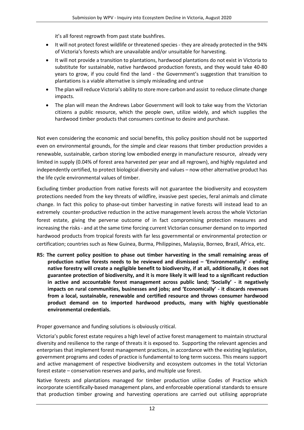it's all forest regrowth from past state bushfires.

- It will not protect forest wildlife or threatened species they are already protected in the 94% of Victoria's forests which are unavailable and/or unsuitable for harvesting.
- It will not provide a transition to plantations, hardwood plantations do not exist in Victoria to substitute for sustainable, native hardwood production forests, and they would take 40-80 years to grow, if you could find the land - the Government's suggestion that transition to plantations is a viable alternative is simply misleading and untrue
- The plan will reduce Victoria's ability to store more carbon and assist to reduce climate change impacts.
- The plan will mean the Andrews Labor Government will look to take way from the Victorian citizens a public resource, which the people own, utilize widely, and which supplies the hardwood timber products that consumers continue to desire and purchase.

Not even considering the economic and social benefits, this policy position should not be supported even on environmental grounds, for the simple and clear reasons that timber production provides a renewable, sustainable, carbon storing low embodied energy in manufacture resource, already very limited in supply (0.04% of forest area harvested per year and all regrown), and highly regulated and independently certified, to protect biological diversity and values – now other alternative product has the life cycle environmental values of timber.

Excluding timber production from native forests will not guarantee the biodiversity and ecosystem protections needed from the key threats of wildfire, invasive pest species, feral animals and climate change. In fact this policy to phase-out timber harvesting in native forests will instead lead to an extremely counter-productive reduction in the active management levels across the whole Victorian forest estate, giving the perverse outcome of in fact compromising protection measures and increasing the risks - and at the same time forcing current Victorian consumer demand on to imported hardwood products from tropical forests with far less governmental or environmental protection or certification; countries such as New Guinea, Burma, Philippines, Malaysia, Borneo, Brazil, Africa, etc.

**R5: The current policy position to phase out timber harvesting in the small remaining areas of production native forests needs to be reviewed and dismissed – 'Environmentally' - ending native forestry will create a negligible benefit to biodiversity, if at all, additionally, it does not guarantee protection of biodiversity, and it is more likely it will lead to a significant reduction in active and accountable forest management across public land; 'Socially' - it negatively impacts on rural communities, businesses and jobs; and 'Economically' - it discards revenues from a local, sustainable, renewable and certified resource and throws consumer hardwood product demand on to imported hardwood products, many with highly questionable environmental credentials.**

Proper governance and funding solutions is obviously critical.

Victoria's public forest estate requires a high level of active forest management to maintain structural diversity and resilience to the range of threats it is exposed to. Supporting the relevant agencies and enterprises that implement forest management practices, in accordance with the existing legislation, government programs and codes of practice is fundamental to long term success. This means support and active management of respective biodiversity and ecosystem outcomes in the total Victorian forest estate – conservation reserves and parks, and multiple use forest.

Native forests and plantations managed for timber production utilise Codes of Practice which incorporate scientifically-based management plans, and enforceable operational standards to ensure that production timber growing and harvesting operations are carried out utilising appropriate